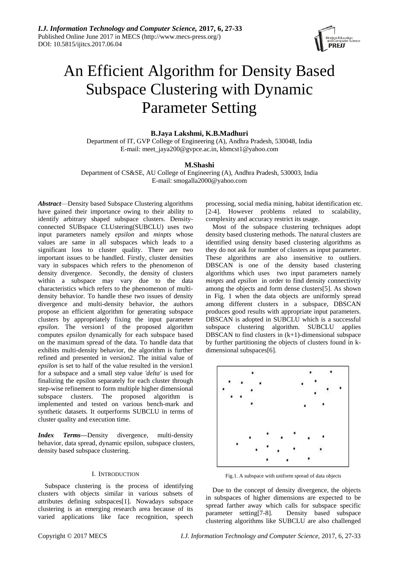

# An Efficient Algorithm for Density Based Subspace Clustering with Dynamic Parameter Setting

## **B.Jaya Lakshmi, K.B.Madhuri**

Department of IT, GVP College of Engineering (A), Andhra Pradesh, 530048, India E-mail: meet\_jaya200@gvpce.ac.in, kbmcst1@yahoo.com

## **M.Shashi**

Department of CS&SE, AU College of Engineering (A), Andhra Pradesh, 530003, India E-mail: smogalla2000@yahoo.com

*Abstract*—Density based Subspace Clustering algorithms have gained their importance owing to their ability to identify arbitrary shaped subspace clusters. Densityconnected SUBspace CLUstering(SUBCLU) uses two input parameters namely *epsilon* and *minpts* whose values are same in all subspaces which leads to a significant loss to cluster quality. There are two important issues to be handled. Firstly, cluster densities vary in subspaces which refers to the phenomenon of density divergence. Secondly, the density of clusters within a subspace may vary due to the data characteristics which refers to the phenomenon of multidensity behavior. To handle these two issues of density divergence and multi-density behavior, the authors propose an efficient algorithm for generating subspace clusters by appropriately fixing the input parameter *epsilon*. The version1 of the proposed algorithm computes *epsilon* dynamically for each subspace based on the maximum spread of the data. To handle data that exhibits multi-density behavior, the algorithm is further refined and presented in version2. The initial value of *epsilon* is set to half of the value resulted in the version1 for a subspace and a small step value *'delta'* is used for finalizing the epsilon separately for each cluster through step-wise refinement to form multiple higher dimensional subspace clusters. The proposed algorithm is implemented and tested on various bench-mark and synthetic datasets. It outperforms SUBCLU in terms of cluster quality and execution time.

*Index Terms—*Density divergence, multi-density behavior, data spread, dynamic epsilon, subspace clusters, density based subspace clustering.

## I. INTRODUCTION

Subspace clustering is the process of identifying clusters with objects similar in various subsets of attributes defining subspaces[1]. Nowadays subspace clustering is an emerging research area because of its varied applications like face recognition, speech

processing, social media mining, habitat identification etc. [2-4]. However problems related to scalability, complexity and accuracy restrict its usage.

Most of the subspace clustering techniques adopt density based clustering methods. The natural clusters are identified using density based clustering algorithms as they do not ask for number of clusters as input parameter. These algorithms are also insensitive to outliers. DBSCAN is one of the density based clustering algorithms which uses two input parameters namely *minpts* and *epsilon* in order to find density connectivity among the objects and form dense clusters[5]. As shown in Fig. 1 when the data objects are uniformly spread among different clusters in a subspace, DBSCAN produces good results with appropriate input parameters. DBSCAN is adopted in SUBCLU which is a successful subspace clustering algorithm. SUBCLU applies DBSCAN to find clusters in  $(k+1)$ -dimensional subspace by further partitioning the objects of clusters found in kdimensional subspaces[6].



Fig.1. A subspace with uniform spread of data objects

Due to the concept of density divergence, the objects in subspaces of higher dimensions are expected to be spread farther away which calls for subspace specific parameter setting[7-8]. Density based subspace clustering algorithms like SUBCLU are also challenged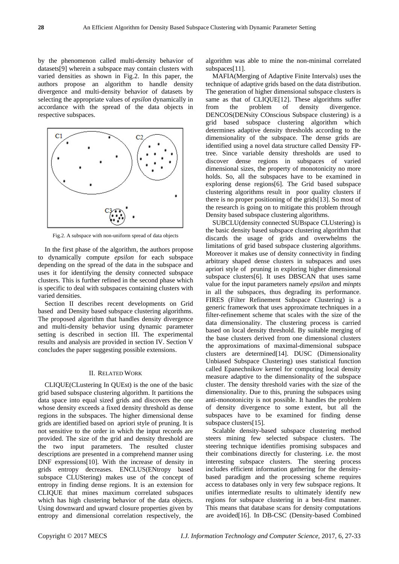by the phenomenon called multi-density behavior of datasets[9] wherein a subspace may contain clusters with varied densities as shown in Fig.2. In this paper, the authors propose an algorithm to handle density divergence and multi-density behavior of datasets by selecting the appropriate values of *epsilon* dynamically in accordance with the spread of the data objects in respective subspaces.



Fig.2. A subspace with non-uniform spread of data objects

In the first phase of the algorithm, the authors propose to dynamically compute *epsilon* for each subspace depending on the spread of the data in the subspace and uses it for identifying the density connected subspace clusters. This is further refined in the second phase which is specific to deal with subspaces containing clusters with varied densities.

Section II describes recent developments on Grid based and Density based subspace clustering algorithms. The proposed algorithm that handles density divergence and multi-density behavior using dynamic parameter setting is described in section III. The experimental results and analysis are provided in section IV. Section V concludes the paper suggesting possible extensions.

### II. RELATED WORK

CLIQUE(CLustering In QUEst) is the one of the basic grid based subspace clustering algorithm. It partitions the data space into equal sized grids and discovers the one whose density exceeds a fixed density threshold as dense regions in the subspaces. The higher dimensional dense grids are identified based on apriori style of pruning. It is not sensitive to the order in which the input records are provided. The size of the grid and density threshold are the two input parameters. The resulted cluster descriptions are presented in a comprehend manner using DNF expressions[10]. With the increase of density in grids entropy decreases. ENCLUS(ENtropy based subspace CLUStering) makes use of the concept of entropy in finding dense regions. It is an extension for CLIQUE that mines maximum correlated subspaces which has high clustering behavior of the data objects. Using downward and upward closure properties given by entropy and dimensional correlation respectively, the algorithm was able to mine the non-minimal correlated subspaces[11].

MAFIA(Merging of Adaptive Finite Intervals) uses the technique of adaptive grids based on the data distribution. The generation of higher dimensional subspace clusters is same as that of CLIQUE[12]. These algorithms suffer from the problem of density divergence. DENCOS(DENsity COnscious Subspace clustering) is a grid based subspace clustering algorithm which determines adaptive density thresholds according to the dimensionality of the subspace. The dense grids are identified using a novel data structure called Density FPtree. Since variable density thresholds are used to discover dense regions in subspaces of varied dimensional sizes, the property of monotonicity no more holds. So, all the subspaces have to be examined in exploring dense regions[6]. The Grid based subspace clustering algorithms result in poor quality clusters if there is no proper positioning of the grids[13]. So most of the research is going on to mitigate this problem through Density based subspace clustering algorithms.

SUBCLU(density connected SUBspace CLUstering) is the basic density based subspace clustering algorithm that discards the usage of grids and overwhelms the limitations of grid based subspace clustering algorithms. Moreover it makes use of density connectivity in finding arbitrary shaped dense clusters in subspaces and uses apriori style of pruning in exploring higher dimensional subspace clusters[6]. It uses DBSCAN that uses same value for the input parameters namely *epsilon* and *minpts* in all the subspaces, thus degrading its performance. FIRES (Filter Refinement Subspace Clustering) is a generic framework that uses approximate techniques in a filter-refinement scheme that scales with the size of the data dimensionality. The clustering process is carried based on local density threshold. By suitable merging of the base clusters derived from one dimensional clusters the approximations of maximal-dimensional subspace clusters are determined[14]. DUSC (Dimensionality Unbiased Subspace Clustering) uses statistical function called Epanechnikov kernel for computing local density measure adaptive to the dimensionality of the subspace cluster. The density threshold varies with the size of the dimensionality. Due to this, pruning the subspaces using anti-monotonicity is not possible. It handles the problem of density divergence to some extent, but all the subspaces have to be examined for finding dense subspace clusters[15].

Scalable density-based subspace clustering method steers mining few selected subspace clusters. The steering technique identifies promising subspaces and their combinations directly for clustering. i.e. the most interesting subspace clusters. The steering process includes efficient information gathering for the densitybased paradigm and the processing scheme requires access to databases only in very few subspace regions. It unifies intermediate results to ultimately identify new regions for subspace clustering in a best-first manner. This means that database scans for density computations are avoided[16]. In DB-CSC (Density-based Combined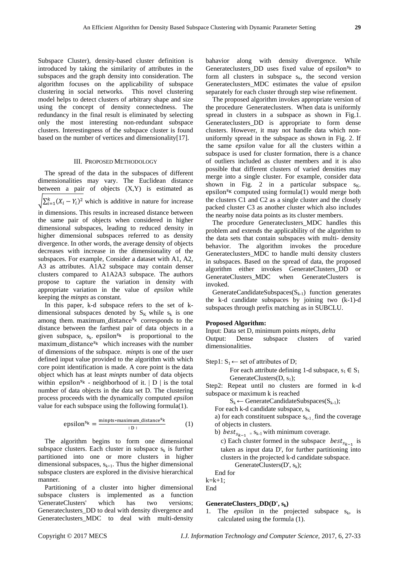Subspace Cluster), density-based cluster definition is introduced by taking the similarity of attributes in the subspaces and the graph density into consideration. The algorithm focuses on the applicability of subspace clustering in social networks. This novel clustering model helps to detect clusters of arbitrary shape and size using the concept of density connectedness. The redundancy in the final result is eliminated by selecting only the most interesting non-redundant subspace clusters. Interestingness of the subspace cluster is found based on the number of vertices and dimensionality[17].

#### III. PROPOSED METHODOLOGY

The spread of the data in the subspaces of different dimensionalities may vary. The Euclidean distance between a pair of objects (X,Y) is estimated as  $\sqrt{\sum_{i=1}^{k}(X_i - Y_i)^2}$  which is additive in nature for increase in dimensions. This results in increased distance between the same pair of objects when considered in higher dimensional subspaces, leading to reduced density in higher dimensional subspaces referred to as density divergence. In other words, the average density of objects decreases with increase in the dimensionality of the subspaces. For example, Consider a dataset with A1, A2, A3 as attributes. A1A2 subspace may contain denser clusters compared to A1A2A3 subspace. The authors propose to capture the variation in density with appropriate variation in the value of *epsilon* while keeping the *minpts* as constant.

In this paper, k-d subspace refers to the set of kdimensional subspaces denoted by  $S_K$  while  $s_k$  is one among them. maximum\_distance $s_k$  corresponds to the distance between the farthest pair of data objects in a given subspace,  $s_k$ . epsilon<sup>sk</sup> is proportional to the maximum distance<sup>s<sub>k</sub></sup> which increases with the number of dimensions of the subspace. *minpts* is one of the user defined input value provided to the algorithm with which core point identification is made. A core point is the data object which has at least *minpts* number of data objects within epsilon<sup>sk</sup> - neighborhood of it.  $|D|$  is the total number of data objects in the data set D. The clustering process proceeds with the dynamically computed *epsilon* value for each subspace using the following formula(1).

$$
epsilonsk = \frac{\text{minpts} \cdot \text{maximum\_distance}^{sk}}{D +} \tag{1}
$$

The algorithm begins to form one dimensional subspace clusters. Each cluster in subspace  $s_k$  is further partitioned into one or more clusters in higher dimensional subspaces,  $s_{k+1}$ . Thus the higher dimensional subspace clusters are explored in the divisive hierarchical manner.

Partitioning of a cluster into higher dimensional subspace clusters is implemented as a function 'GenerateClusters' which has two versions; Generateclusters\_DD to deal with density divergence and Generateclusters\_MDC to deal with multi-density

bahavior along with density divergence. While Generateclusters\_DD uses fixed value of epsilon<sup>sk</sup> to form all clusters in subspace  $s_k$ , the second version Generateclusters\_MDC estimates the value of *epsilon* separately for each cluster through step wise refinement.

The proposed algorithm invokes appropriate version of the procedure Generateclusters. When data is uniformly spread in clusters in a subspace as shown in Fig.1. Generateclusters\_DD is appropriate to form dense clusters. However, it may not handle data which nonuniformly spread in the subspace as shown in Fig. 2. If the same *epsilon* value for all the clusters within a subspace is used for cluster formation, there is a chance of outliers included as cluster members and it is also possible that different clusters of varied densities may merge into a single cluster. For example, consider data shown in Fig. 2 in a particular subspace  $s_K$ . epsilon<sup>sk</sup> computed using formula(1) would merge both the clusters C1 and C2 as a single cluster and the closely packed cluster C3 as another cluster which also includes the nearby noise data points as its cluster members.

The procedure Generateclusters MDC handles this problem and extends the applicability of the algorithm to the data sets that contain subspaces with multi- density behavior. The algorithm invokes the procedure Generateclusters\_MDC to handle multi density clusters in subspaces. Based on the spread of data, the proposed algorithm either invokes GenerateClusters\_DD or GenerateClusters\_MDC when GenerateClusters is invoked.

GenerateCandidateSubspaces $(S_{k-1})$  function generates the k-d candidate subspaces by joining two (k-1)-d subspaces through prefix matching as in SUBCLU.

#### **Proposed Algorithm:**

Input: Data set D, minimum points *minpts*, *delta* Output: Dense subspace clusters of varied dimensionalities.

Step1:  $S_1 \leftarrow$  set of attributes of D;

For each attribute defining 1-d subspace,  $s_1 \in S_1$ GenerateClusters $(D, s_1)$ ;

Step2: Repeat until no clusters are formed in k-d subspace or maximum k is reached

 $S_k \leftarrow$  GenerateCandidateSubspaces( $S_{k-1}$ );

For each k-d candidate subspace,  $s_k$ 

a) for each constituent subspace  $s_{k-1}$  find the coverage of objects in clusters.

b)  $best_{s_{k-1}} = s_{k-1}$  with minimum coverage.

c) Each cluster formed in the subspace  $best_{s_{k-1}}$  is taken as input data D', for further partitioning into clusters in the projected k-d candidate subspace.

GenerateClusters( $D'$ ,  $s_k$ );

End for

 $k=k+1$ ;

End

#### **GenerateClusters\_DD(D', sk)**

1. The *epsilon* in the projected subspace  $s_k$ , is calculated using the formula (1).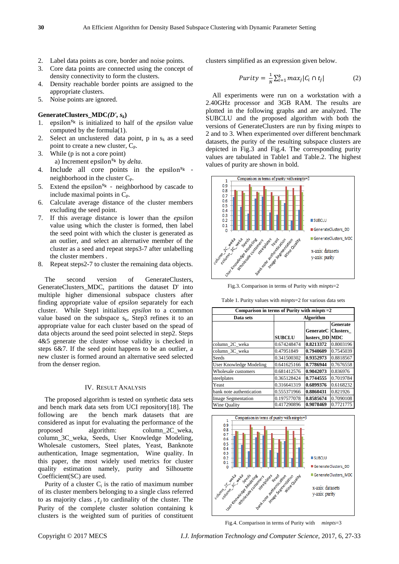- 2. Label data points as core, border and noise points.
- 3. Core data points are connected using the concept of density connectivity to form the clusters.
- 4. Density reachable border points are assigned to the appropriate clusters.
- 5. Noise points are ignored.

## **GenerateClusters\_MDC***(D', sk***)**

- 1. epsilon<sup>sk</sup> is initialized to half of the *epsilon* value computed by the formula(1).
- 2. Select an unclustered data point, p in  $s_k$  as a seed point to create a new cluster,  $C_{P}$ .
- 3. While (p is not a core point) a) Increment epsilon<sup>sk</sup> by *delta*.
- 4. Include all core points in the epsilon $s<sub>k</sub>$  neighborhood in the cluster  $C_P$ .
- 5. Extend the epsilon<sup>s<sub>k</sub></sup> neighborhood by cascade to include maximal points in  $C_{P}$ .
- 6. Calculate average distance of the cluster members excluding the seed point.
- 7. If this average distance is lower than the *epsilon* value using which the cluster is formed, then label the seed point with which the cluster is generated as an outlier, and select an alternative member of the cluster as a seed and repeat steps3-7 after unlabelling the cluster members .
- 8. Repeat steps2-7 to cluster the remaining data objects.

The second version of GenerateClusters, GenerateClusters\_MDC, partitions the dataset D' into multiple higher dimensional subspace clusters after finding appropriate value of *epsilon* separately for each cluster. While Step1 initializes *epsilon* to a common value based on the subspace  $s_k$ , Step3 refines it to an appropriate value for each cluster based on the spead of data objects around the seed point selected in step2. Steps 4&5 generate the cluster whose validity is checked in steps 6&7. If the seed point happens to be an outlier, a new cluster is formed around an alternative seed selected from the denser region.

#### IV. RESULT ANALYSIS

The proposed algorithm is tested on synthetic data sets and bench mark data sets from UCI repository[18]. The following are the bench mark datasets that are considered as input for evaluating the performance of the proposed algorithm: column 2C weka, column\_3C\_weka, Seeds, User Knowledge Modeling, Wholesale customers, Steel plates, Yeast, Banknote authentication, Image segmentation, Wine quality. In this paper, the most widely used metrics for cluster quality estimation namely, purity and Silhouette Coefficient(SC) are used.

Purity of a cluster  $C_i$  is the ratio of maximum number of its cluster members belonging to a single class referred to as majority class,  $t_i$  to cardinality of the cluster. The Purity of the complete cluster solution containing k clusters is the weighted sum of purities of constituent clusters simplified as an expression given below.

$$
Purity = \frac{1}{N} \sum_{i=1}^{k} max_j |C_i \cap t_j|
$$
 (2)

All experiments were run on a workstation with a 2.40GHz processor and 3GB RAM. The results are plotted in the following graphs and are analyzed. The SUBCLU and the proposed algorithm with both the versions of GenerateClusters are run by fixing *minpts* to 2 and to 3. When experimented over different benchmark datasets, the purity of the resulting subspace clusters are depicted in Fig.3 and Fig.4. The corresponding purity values are tabulated in Table1 and Table.2. The highest values of purity are shown in bold.



Fig.3. Comparison in terms of Purity with *minpts*=2

Table 1. Purity values with *minpts*=2 for various data sets

| Comparison in terms of Purity with $minputs = 2$ |               |                  |                 |
|--------------------------------------------------|---------------|------------------|-----------------|
| Data sets                                        | Algorithm     |                  |                 |
|                                                  |               |                  | <b>Generate</b> |
|                                                  |               | <b>GenerateC</b> | <b>Clusters</b> |
|                                                  | <b>SUBCLU</b> | lusters DD MDC   |                 |
| column_2C_weka                                   | 0.674248474   | 0.8213372        | 0.8003196       |
| column 3C weka                                   | 0.47951849    | 0.7940609        | 0.7545039       |
| Seeds                                            | 0.341500302   | 0.9352973        | 0.8818567       |
| User Knowledge Modeling                          | 0.641625166   | 0.7786944        | 0.7676558       |
| Wholesale customers                              | 0.681412576   | 0.9042073        | 0.836976        |
| steelplates                                      | 0.365128424   | 0.7744555        | 0.7019784       |
| Yeast                                            | 0.316641319   | 0.6899376        | 0.6168232       |
| bank note authentication                         | 0.555371966   | 0.8860431        | 0.821926        |
| <b>Image Segmentation</b>                        | 0.197577078   | 0.8585674        | 0.7090108       |
| Wine Quality                                     | 0.417290896   | 0.9078469        | 0.7721775       |



Fig.4. Comparison in terms of Purity with *minpts*=3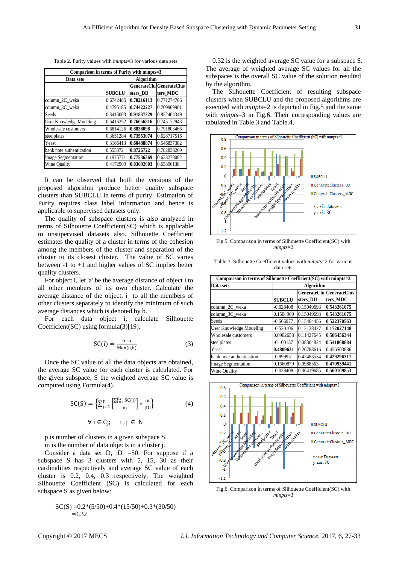| Comparison in terms of Purity with minpts=3 |                  |            |                          |
|---------------------------------------------|------------------|------------|--------------------------|
| Data sets                                   | <b>Algorithm</b> |            |                          |
|                                             |                  |            | GenerateClulGenerateClus |
|                                             | <b>SUBCLU</b>    | sters DD   | ters MDC                 |
| column_2C_weka                              | 0.6742485        | 0.78216113 | 0.771274706              |
| column 3C weka                              | 0.4795185        | 0.74422227 | 0.709969901              |
| Seeds                                       | 0.3415003        | 0.91837329 | 0.852464349              |
| <b>User Knowledge Modeling</b>              | 0.6416252        | 0.76056816 | 0.745172943              |
| Wholesale customers                         | 0.6814126        | 0.8838098  | 0.791803466              |
| steelplates                                 | 0.3651284        | 0.73553074 | 0.628717516              |
| Yeast                                       | 0.3166413        | 0.60488874 | 0.546837382              |
| bank note authentication                    | 0.555372         | 0.8726722  | 0.782838269              |
| <b>Image Segmentation</b>                   | 0.1975771        | 0.77536369 | 0.633278062              |
| Wine Quality                                | 0.4172909        | 0.83692003 | 0.65396138               |

Table 2. Purity values with *minpts*=3 for various data sets

It can be observed that both the versions of the proposed algorithm produce better quality subspace clusters than SUBCLU in terms of purity. Estimation of Purity requires class label information and hence is applicable to supervised datasets only.

The quality of subspace clusters is also analyzed in terms of Silhouette Coefficient(SC) which is applicable to unsupervised datasets also. Silhouette Coefficient estimates the quality of a cluster in terms of the cohesion among the members of the cluster and separation of the cluster to its closest cluster. The value of SC varies between -1 to +1 and higher values of SC implies better quality clusters.

For object i, let 'a' be the average distance of object i to all other members of its own cluster. Calculate the average distance of the object, i to all the members of other clusters separately to identify the minimum of such average distances which is denoted by b.

For each data object i, calculate Silhouette Coefficient(SC) using formula(3)[19].

$$
SC(i) = \frac{b-a}{Max(a,b)}
$$
 (3)

Once the SC value of all the data objects are obtained, the average SC value for each cluster is calculated. For the given subspace, S the weighted average SC value is computed using Formula(4).

$$
SC(S) = \left\{ \sum_{j=1}^{p} \left[ \frac{\sum_{i=1}^{m} SC(i)}{m} \right] * \frac{m}{|D|} \right\}
$$
(4)

$$
\forall i \in Cj; \quad i,j \in N
$$

p is number of clusters in a given subspace S.

m is the number of data objects in a cluster j.

Consider a data set D,  $|D| = 50$ . For suppose if a subspace S has 3 clusters with 5, 15, 30 as their cardinalities respectively and average SC value of each cluster is 0.2, 0.4, 0.3 respectively. The weighted Silhouette Coefficient (SC) is calculated for each subspace S as given below:

$$
SC(S) = 0.2*(5/50) + 0.4*(15/50) + 0.3*(30/50)
$$
  
= 0.32

0.32 is the weighted average SC value for a subspace S. The average of weighted average SC values for all the subspaces is the overall SC value of the solution resulted by the algorithm.

The Silhouette Coefficient of resulting subspace clusters when SUBCLU and the proposed algorithms are executed with *minpts*=2 is depicted in Fig.5 and the same with *minpts*=3 in Fig.6. Their corresponding values are tabulated in Table.3 and Table.4.



Fig.5. Comparison in terms of Silhouette Coefficient(SC) with *minpts*=2

Table 3. Silhouette Coefficient values with *minpts*=2 for various data sets

| Comparison in terms of Silhouette Coefficient(SC) with minpts=2 |               |            |                          |
|-----------------------------------------------------------------|---------------|------------|--------------------------|
| Data sets                                                       | Algorithm     |            |                          |
|                                                                 |               |            | GenerateClu GenerateClus |
|                                                                 | <b>SUBCLU</b> | sters DD   | ters MDC                 |
| column_2C_weka                                                  | $-0.028408$   | 0.15049693 | 0.543261075              |
| column 3C weka                                                  | 0.1504969     | 0.15049693 | 0.543261075              |
| Seeds                                                           | $-0.566977$   | 0.15404456 | 0.522370563              |
| User Knowledge Modeling                                         | $-0.520106$   | 0.12128427 | 0.172027148              |
| Wholesale customers                                             | 0.0902658     | 0.11427645 | 0.586456344              |
| steelplates                                                     | $-0.100137$   | 0.08304824 | 0.541868884              |
| Yeast                                                           | 0.4809631     | 0.26788616 | 0.456503886              |
| bank note authentication                                        | $-0.999951$   | 0.42483534 | 0.429296317              |
| <b>Image Segmentation</b>                                       | 0.1660879     | 0.0988563  | 0.470939441              |
| Wine Ouality                                                    | $-0.028408$   | 0.36419685 | 0.560109853              |



Fig.6. Comparison in terms of Silhouette Coefficient(SC) with *minpts*=3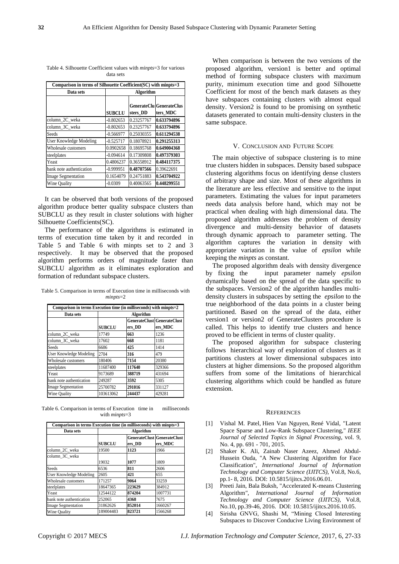| Comparison in terms of sunouette Coefficient(SC) with mimpts=3 |               |            |                                      |
|----------------------------------------------------------------|---------------|------------|--------------------------------------|
| Data sets                                                      | Algorithm     |            |                                      |
|                                                                | <b>SUBCLU</b> | sters DD   | GenerateClulGenerateClus<br>ters_MDC |
| column_2C_weka                                                 | $-0.802653$   | 0.23257767 | 0.633794896                          |
| column 3C weka                                                 | $-0.802653$   | 0.23257767 | 0.633794896                          |
| Seeds                                                          | $-0.566977$   | 0.25030355 | 0.611294538                          |
| User Knowledge Modeling                                        | $-0.525717$   | 0.18078921 | 0.291255313                          |
| Wholesale customers                                            | 0.0902658     | 0.18695768 | 0.649004368                          |
| steelplates                                                    | $-0.094614$   | 0.17309808 | 0.497379303                          |
| Yeast                                                          | 0.4806237     | 0.36558912 | 0.484117375                          |
| bank note authentication                                       | $-0.999951$   | 0.48707566 | 0.39622691                           |
| <b>Image Segmentation</b>                                      | 0.1654079     | 0.24751883 | 0.543704922                          |
| Wine Ouality                                                   | $-0.0309$     | 0.40063565 | 0.448299551                          |

Table 4. Silhouette Coefficient values with *minpts*=3 for various data sets  $C_1$  and  $C_2$  in terms of  $S_1$ lhoughts  $C_2$  of  $f^*$  in  $f(S)$  with minutes  $3$ 

It can be observed that both versions of the proposed algorithm produce better quality subspace clusters than SUBCLU as they result in cluster solutions with higher Silhouette Coefficients(SC).

The performance of the algorithms is estimated in terms of execution time taken by it and recorded in Table 5 and Table 6 with minpts set to 2 and 3 respectively. It may be observed that the proposed algorithm performs orders of magnitude faster than SUBCLU algorithm as it eliminates exploration and formation of redundant subspace clusters.

Table 5. Comparison in terms of Execution time in milliseconds with *minpts*=2

| Comparison in terms Execution time (in milliseconds) with minpts=2 |               |        |                                        |
|--------------------------------------------------------------------|---------------|--------|----------------------------------------|
| Data sets                                                          | Algorithm     |        |                                        |
|                                                                    | <b>SUBCLU</b> | ers DD | GenerateClust GenerateClust<br>ers_MDC |
| column 2C weka                                                     | 17749         | 663    | 1236                                   |
| column_3C_weka                                                     | 17602         | 668    | 1181                                   |
| Seeds                                                              | 6686          | 425    | 1414                                   |
| User Knowledge Modeling                                            | 2704          | 316    | 479                                    |
| Wholesale customers                                                | 180406        | 7154   | 20380                                  |
| steelplates                                                        | 11687400      | 117640 | 329366                                 |
| Yeast                                                              | 9173689       | 388719 | 431694                                 |
| bank note authentication                                           | 249287        | 3592   | 5305                                   |
| <b>Image Segmentation</b>                                          | 25700782      | 291016 | 331127                                 |
| Wine Quality                                                       | 103613062     | 244437 | 429281                                 |

Table 6. Comparison in terms of Execution time in milliseconds with *minpts*=3

| Comparison in terms Execution time (in milliseconds) with minpts=3 |                  |        |                                    |
|--------------------------------------------------------------------|------------------|--------|------------------------------------|
| Data sets                                                          | <b>Algorithm</b> |        |                                    |
|                                                                    |                  |        | <b>GenerateClust GenerateClust</b> |
|                                                                    | <b>SUBCLU</b>    | ers DD | ers MDC                            |
| column 2C weka                                                     | 19500            | 1123   | 1966                               |
| column 3C weka                                                     |                  |        |                                    |
|                                                                    | 19032            | 1077   | 1809                               |
| <b>Seeds</b>                                                       | 6536             | 811    | 2606                               |
| User Knowledge Modeling                                            | 2605             | 421    | 655                                |
| Wholesale customers                                                | 171257           | 9064   | 33259                              |
| steelplates                                                        | 18647365         | 223629 | 384912                             |
| Yeast                                                              | 12544122         | 874204 | 1007731                            |
| bank note authentication                                           | 252065           | 4368   | 7675                               |
| <b>Image Segmentation</b>                                          | 31862626         | 852014 | 1660267                            |
| Wine Quality                                                       | 189004483        | 823721 | 1566268                            |

When comparison is between the two versions of the proposed algorithm, version1 is better and optimal method of forming subspace clusters with maximum purity, minimum execution time and good Silhouette Coefficient for most of the bench mark datasets as they have subspaces containing clusters with almost equal density. Version2 is found to be promising on synthetic datasets generated to contain multi-density clusters in the same subspace.

#### V. CONCLUSION AND FUTURE SCOPE

The main objective of subspace clustering is to mine true clusters hidden in subspaces. Density based subspace clustering algorithms focus on identifying dense clusters of arbitrary shape and size. Most of these algorithms in the literature are less effective and sensitive to the input parameters. Estimating the values for input parameters needs data analysis before hand, which may not be practical when dealing with high dimensional data. The proposed algorithm addresses the problem of density divergence and multi-density behavior of datasets through dynamic approach to parameter setting. The algorithm captures the variation in density with appropriate variation in the value of *epsilon* while keeping the *minpts* as constant.

The proposed algorithm deals with density divergence by fixing the input parameter namely *epsilon* dynamically based on the spread of the data specific to the subspaces. Version2 of the algorithm handles multidensity clusters in subspaces by setting the *epsilon* to the true neighborhood of the data points in a cluster being partitioned. Based on the spread of the data, either version1 or version2 of GenerateClusters procedure is called. This helps to identify true clusters and hence proved to be efficient in terms of cluster quality.

The proposed algorithm for subspace clustering follows hierarchical way of exploration of clusters as it partitions clusters at lower dimensional subspaces into clusters at higher dimensions. So the proposed algorithm suffers from some of the limitations of hierarchical clustering algorithms which could be handled as future extension.

#### **REFERENCES**

- [1] [Vishal M. Patel,](http://ieeexplore.ieee.org/search/searchresult.jsp?searchWithin=%22Authors%22:.QT.Vishal%20M.%20Patel.QT.&newsearch=true) [Hien Van Nguyen,](http://ieeexplore.ieee.org/search/searchresult.jsp?searchWithin=%22Authors%22:.QT.Hien%20Van%20Nguyen.QT.&newsearch=true) [René Vidal,](http://ieeexplore.ieee.org/search/searchresult.jsp?searchWithin=%22Authors%22:.QT.Ren.AND..HSH.x00E9%3B%20Vidal.QT.&newsearch=true) ["Latent](http://ieeexplore.ieee.org/document/7039205/)  [Space Sparse and Low-Rank](http://ieeexplore.ieee.org/document/7039205/) Subspace Clustering," *[IEEE](http://ieeexplore.ieee.org/xpl/RecentIssue.jsp?punumber=4200690)  [Journal of Selected Topics in Signal Processing](http://ieeexplore.ieee.org/xpl/RecentIssue.jsp?punumber=4200690)*, vol. 9, No. 4, pp. 691 - 701, 2015.
- [2] Shaker K. Ali, Zainab Naser Azeez, Ahmed Abdul-Hussein Ouda, "A New Clustering Algorithm for Face Classification", *International Journal of Information Technology and Computer Science (IJITCS)*, Vol.8, No.6, pp.1- 8, 2016. DOI: 10.5815/ijitcs.2016.06.01.
- [3] Preeti Jain, Bala Buksh, "Accelerated K-means Clustering Algorithm*", International Journal of Information Technology and Computer Science (IJITCS),* Vol.8, No.10, pp.39-46, 2016. DOI: 10.5815/ijitcs.2016.10.05.
- [4] Sirisha GNVG, Shashi M, "Mining Closed Interesting Subspaces to Discover Conducive Living Environment of